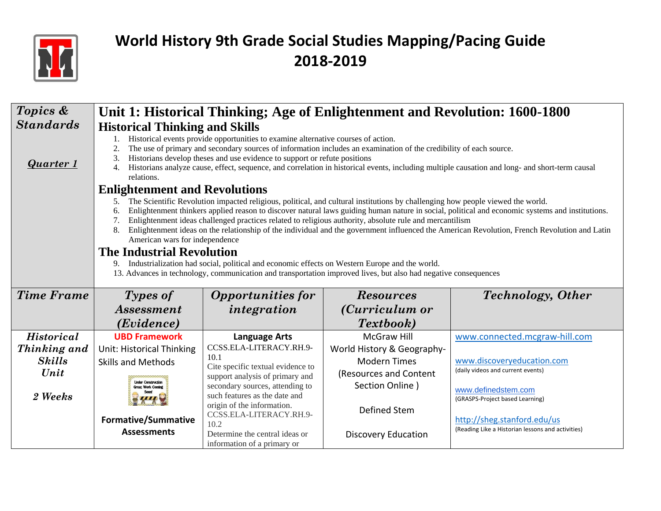

| Topics &              | Unit 1: Historical Thinking; Age of Enlightenment and Revolution: 1600-1800                                                                                                                                                                                                                                                                                                                                                                                                                                                                                                                                                                                                                                                                                                                                                                                          |                                                                                                                                                                          |                                                                  |                                                                                        |  |  |  |
|-----------------------|----------------------------------------------------------------------------------------------------------------------------------------------------------------------------------------------------------------------------------------------------------------------------------------------------------------------------------------------------------------------------------------------------------------------------------------------------------------------------------------------------------------------------------------------------------------------------------------------------------------------------------------------------------------------------------------------------------------------------------------------------------------------------------------------------------------------------------------------------------------------|--------------------------------------------------------------------------------------------------------------------------------------------------------------------------|------------------------------------------------------------------|----------------------------------------------------------------------------------------|--|--|--|
| <b>Standards</b>      | <b>Historical Thinking and Skills</b>                                                                                                                                                                                                                                                                                                                                                                                                                                                                                                                                                                                                                                                                                                                                                                                                                                |                                                                                                                                                                          |                                                                  |                                                                                        |  |  |  |
| Quarter 1             | Historical events provide opportunities to examine alternative courses of action.<br>The use of primary and secondary sources of information includes an examination of the credibility of each source.<br>2.<br>Historians develop theses and use evidence to support or refute positions<br>3.<br>Historians analyze cause, effect, sequence, and correlation in historical events, including multiple causation and long- and short-term causal<br>4.<br>relations.                                                                                                                                                                                                                                                                                                                                                                                               |                                                                                                                                                                          |                                                                  |                                                                                        |  |  |  |
|                       | <b>Enlightenment and Revolutions</b>                                                                                                                                                                                                                                                                                                                                                                                                                                                                                                                                                                                                                                                                                                                                                                                                                                 |                                                                                                                                                                          |                                                                  |                                                                                        |  |  |  |
|                       | The Scientific Revolution impacted religious, political, and cultural institutions by challenging how people viewed the world.<br>5.<br>Enlightenment thinkers applied reason to discover natural laws guiding human nature in social, political and economic systems and institutions.<br>6.<br>Enlightenment ideas challenged practices related to religious authority, absolute rule and mercantilism<br>7.<br>8.<br>Enlightenment ideas on the relationship of the individual and the government influenced the American Revolution, French Revolution and Latin<br>American wars for independence<br><b>The Industrial Revolution</b><br>Industrialization had social, political and economic effects on Western Europe and the world.<br>9.<br>13. Advances in technology, communication and transportation improved lives, but also had negative consequences |                                                                                                                                                                          |                                                                  |                                                                                        |  |  |  |
| <b>Time Frame</b>     | Types of                                                                                                                                                                                                                                                                                                                                                                                                                                                                                                                                                                                                                                                                                                                                                                                                                                                             | <b>Opportunities for</b><br><b>Technology</b> , Other<br><b>Resources</b>                                                                                                |                                                                  |                                                                                        |  |  |  |
|                       | <i><b>Assessment</b></i>                                                                                                                                                                                                                                                                                                                                                                                                                                                                                                                                                                                                                                                                                                                                                                                                                                             | integration                                                                                                                                                              | (Curriculum or                                                   |                                                                                        |  |  |  |
|                       | (Evidence)                                                                                                                                                                                                                                                                                                                                                                                                                                                                                                                                                                                                                                                                                                                                                                                                                                                           |                                                                                                                                                                          | <i>Textbook</i> )                                                |                                                                                        |  |  |  |
| <b>Historical</b>     | <b>UBD Framework</b>                                                                                                                                                                                                                                                                                                                                                                                                                                                                                                                                                                                                                                                                                                                                                                                                                                                 | <b>Language Arts</b>                                                                                                                                                     | <b>McGraw Hill</b>                                               | www.connected.mcgraw-hill.com                                                          |  |  |  |
| Thinking and          | <b>Unit: Historical Thinking</b>                                                                                                                                                                                                                                                                                                                                                                                                                                                                                                                                                                                                                                                                                                                                                                                                                                     | CCSS.ELA-LITERACY.RH.9-                                                                                                                                                  | World History & Geography-                                       |                                                                                        |  |  |  |
| <b>Skills</b><br>Unit | <b>Skills and Methods</b><br><b>Under Construction</b><br><b>Great Work Coming</b>                                                                                                                                                                                                                                                                                                                                                                                                                                                                                                                                                                                                                                                                                                                                                                                   | 10.1<br>Cite specific textual evidence to<br>support analysis of primary and<br>secondary sources, attending to                                                          | <b>Modern Times</b><br>(Resources and Content<br>Section Online) | www.discoveryeducation.com<br>(daily videos and current events)<br>www.definedstem.com |  |  |  |
| 2 Weeks               | <b>Formative/Summative</b>                                                                                                                                                                                                                                                                                                                                                                                                                                                                                                                                                                                                                                                                                                                                                                                                                                           | such features as the date and<br>(GRASPS-Project based Learning)<br>origin of the information.<br>Defined Stem<br>CCSS.ELA-LITERACY.RH.9-<br>http://sheg.stanford.edu/us |                                                                  |                                                                                        |  |  |  |
|                       | <b>Assessments</b>                                                                                                                                                                                                                                                                                                                                                                                                                                                                                                                                                                                                                                                                                                                                                                                                                                                   | 10.2<br>Determine the central ideas or<br>information of a primary or                                                                                                    | <b>Discovery Education</b>                                       | (Reading Like a Historian lessons and activities)                                      |  |  |  |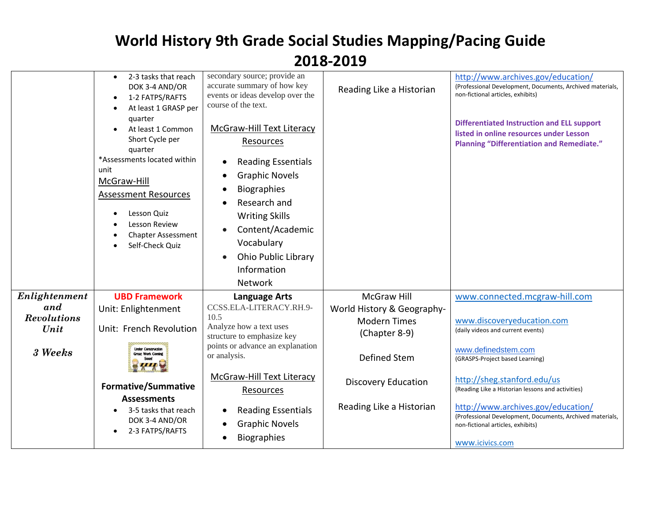|                           | 2-3 tasks that reach<br>$\bullet$<br>DOK 3-4 AND/OR<br>1-2 FATPS/RAFTS<br>At least 1 GRASP per<br>quarter<br>At least 1 Common<br>Short Cycle per<br>quarter<br>*Assessments located within<br>unit<br>McGraw-Hill<br><b>Assessment Resources</b><br>Lesson Quiz<br>Lesson Review<br><b>Chapter Assessment</b><br>Self-Check Quiz | secondary source; provide an<br>accurate summary of how key<br>events or ideas develop over the<br>course of the text.<br><b>McGraw-Hill Text Literacy</b><br>Resources<br><b>Reading Essentials</b><br><b>Graphic Novels</b><br><b>Biographies</b><br>Research and<br><b>Writing Skills</b><br>Content/Academic<br>$\bullet$<br>Vocabulary<br>Ohio Public Library<br>Information<br>Network | Reading Like a Historian             | http://www.archives.gov/education/<br>(Professional Development, Documents, Archived materials,<br>non-fictional articles, exhibits)<br><b>Differentiated Instruction and ELL support</b><br>listed in online resources under Lesson<br><b>Planning "Differentiation and Remediate."</b> |
|---------------------------|-----------------------------------------------------------------------------------------------------------------------------------------------------------------------------------------------------------------------------------------------------------------------------------------------------------------------------------|----------------------------------------------------------------------------------------------------------------------------------------------------------------------------------------------------------------------------------------------------------------------------------------------------------------------------------------------------------------------------------------------|--------------------------------------|------------------------------------------------------------------------------------------------------------------------------------------------------------------------------------------------------------------------------------------------------------------------------------------|
| Enlightenment             | <b>UBD Framework</b>                                                                                                                                                                                                                                                                                                              | <b>Language Arts</b>                                                                                                                                                                                                                                                                                                                                                                         | <b>McGraw Hill</b>                   | www.connected.mcgraw-hill.com                                                                                                                                                                                                                                                            |
| and<br><b>Revolutions</b> | Unit: Enlightenment                                                                                                                                                                                                                                                                                                               | CCSS.ELA-LITERACY.RH.9-<br>10.5                                                                                                                                                                                                                                                                                                                                                              | World History & Geography-           |                                                                                                                                                                                                                                                                                          |
| Unit                      | Unit: French Revolution                                                                                                                                                                                                                                                                                                           | Analyze how a text uses<br>structure to emphasize key                                                                                                                                                                                                                                                                                                                                        | <b>Modern Times</b><br>(Chapter 8-9) | www.discoveryeducation.com<br>(daily videos and current events)                                                                                                                                                                                                                          |
| 3 Weeks                   | <b>Under Construction</b><br>Great Work Coming                                                                                                                                                                                                                                                                                    | points or advance an explanation<br>or analysis.                                                                                                                                                                                                                                                                                                                                             | Defined Stem                         | www.definedstem.com<br>(GRASPS-Project based Learning)                                                                                                                                                                                                                                   |
|                           | <b>Formative/Summative</b><br><b>Assessments</b>                                                                                                                                                                                                                                                                                  | McGraw-Hill Text Literacy<br><b>Resources</b>                                                                                                                                                                                                                                                                                                                                                | <b>Discovery Education</b>           | http://sheg.stanford.edu/us<br>(Reading Like a Historian lessons and activities)                                                                                                                                                                                                         |
|                           | 3-5 tasks that reach<br>DOK 3-4 AND/OR<br>2-3 FATPS/RAFTS                                                                                                                                                                                                                                                                         | <b>Reading Essentials</b><br><b>Graphic Novels</b><br>$\bullet$<br><b>Biographies</b><br>٠                                                                                                                                                                                                                                                                                                   | Reading Like a Historian             | http://www.archives.gov/education/<br>(Professional Development, Documents, Archived materials,<br>non-fictional articles, exhibits)<br>www.icivics.com                                                                                                                                  |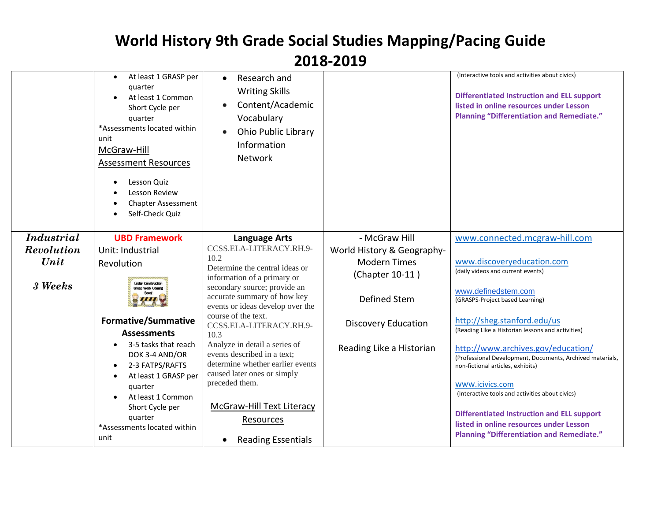|                   | At least 1 GRASP per<br>$\bullet$<br>quarter<br>At least 1 Common<br>Short Cycle per<br>quarter<br>*Assessments located within<br>unit<br>McGraw-Hill<br><b>Assessment Resources</b><br>Lesson Quiz<br><b>Lesson Review</b><br><b>Chapter Assessment</b><br>Self-Check Quiz | Research and<br>$\bullet$<br><b>Writing Skills</b><br>Content/Academic<br>Vocabulary<br>Ohio Public Library<br>Information<br><b>Network</b> |                            | (Interactive tools and activities about civics)<br><b>Differentiated Instruction and ELL support</b><br>listed in online resources under Lesson<br><b>Planning "Differentiation and Remediate."</b> |
|-------------------|-----------------------------------------------------------------------------------------------------------------------------------------------------------------------------------------------------------------------------------------------------------------------------|----------------------------------------------------------------------------------------------------------------------------------------------|----------------------------|-----------------------------------------------------------------------------------------------------------------------------------------------------------------------------------------------------|
| <i>Industrial</i> | <b>UBD Framework</b>                                                                                                                                                                                                                                                        | <b>Language Arts</b>                                                                                                                         | - McGraw Hill              | www.connected.mcgraw-hill.com                                                                                                                                                                       |
| Revolution        | Unit: Industrial                                                                                                                                                                                                                                                            | CCSS.ELA-LITERACY.RH.9-                                                                                                                      | World History & Geography- |                                                                                                                                                                                                     |
| Unit              | Revolution                                                                                                                                                                                                                                                                  | 10.2<br>Determine the central ideas or                                                                                                       | <b>Modern Times</b>        | www.discoveryeducation.com                                                                                                                                                                          |
|                   |                                                                                                                                                                                                                                                                             | information of a primary or                                                                                                                  | (Chapter 10-11)            | (daily videos and current events)                                                                                                                                                                   |
| 3 Weeks           | <b>Under Construction</b><br>Great Work Coming<br><b>Soon!</b>                                                                                                                                                                                                              | secondary source; provide an<br>accurate summary of how key<br>events or ideas develop over the                                              | Defined Stem               | www.definedstem.com<br>(GRASPS-Project based Learning)                                                                                                                                              |
|                   | <b>Formative/Summative</b><br><b>Assessments</b>                                                                                                                                                                                                                            | course of the text.<br>CCSS.ELA-LITERACY.RH.9-<br>10.3                                                                                       | <b>Discovery Education</b> | http://sheg.stanford.edu/us<br>(Reading Like a Historian lessons and activities)                                                                                                                    |
|                   | 3-5 tasks that reach<br>DOK 3-4 AND/OR<br>2-3 FATPS/RAFTS<br>$\bullet$                                                                                                                                                                                                      | Analyze in detail a series of<br>events described in a text;<br>determine whether earlier events<br>caused later ones or simply              | Reading Like a Historian   | http://www.archives.gov/education/<br>(Professional Development, Documents, Archived materials,<br>non-fictional articles, exhibits)                                                                |
|                   | At least 1 GRASP per<br>quarter                                                                                                                                                                                                                                             | preceded them.                                                                                                                               |                            | www.icivics.com                                                                                                                                                                                     |
|                   | At least 1 Common                                                                                                                                                                                                                                                           |                                                                                                                                              |                            | (Interactive tools and activities about civics)                                                                                                                                                     |
|                   | Short Cycle per                                                                                                                                                                                                                                                             | <b>McGraw-Hill Text Literacy</b>                                                                                                             |                            |                                                                                                                                                                                                     |
|                   | quarter                                                                                                                                                                                                                                                                     | Resources                                                                                                                                    |                            | <b>Differentiated Instruction and ELL support</b><br>listed in online resources under Lesson                                                                                                        |
|                   | *Assessments located within                                                                                                                                                                                                                                                 |                                                                                                                                              |                            | <b>Planning "Differentiation and Remediate."</b>                                                                                                                                                    |
|                   | unit                                                                                                                                                                                                                                                                        | <b>Reading Essentials</b>                                                                                                                    |                            |                                                                                                                                                                                                     |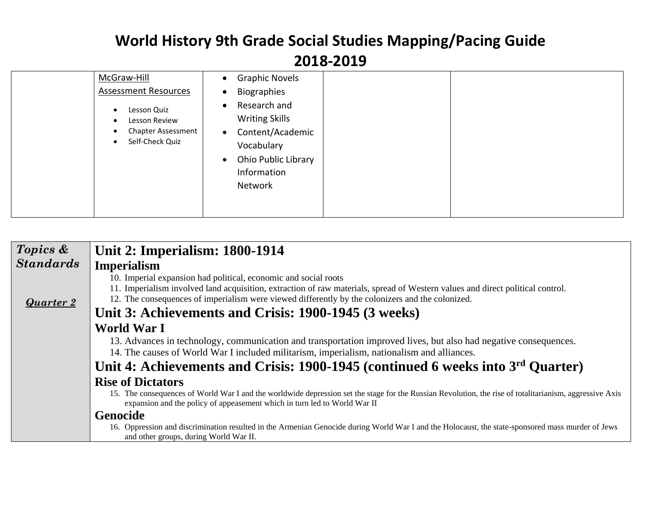| McGraw-Hill<br><b>Assessment Resources</b><br>Lesson Quiz<br>$\bullet$<br>Lesson Review<br><b>Chapter Assessment</b> | <b>Graphic Novels</b><br>$\bullet$<br>Biographies<br>$\bullet$<br>Research and<br>$\bullet$<br><b>Writing Skills</b><br>Content/Academic<br>$\bullet$ |
|----------------------------------------------------------------------------------------------------------------------|-------------------------------------------------------------------------------------------------------------------------------------------------------|
| Self-Check Quiz<br>$\bullet$                                                                                         | Vocabulary<br>Ohio Public Library<br>$\bullet$<br>Information<br>Network                                                                              |

| Topics &         | <b>Unit 2: Imperialism: 1800-1914</b>                                                                                                                                                                                                                                                                                                                                                                                                                                              |
|------------------|------------------------------------------------------------------------------------------------------------------------------------------------------------------------------------------------------------------------------------------------------------------------------------------------------------------------------------------------------------------------------------------------------------------------------------------------------------------------------------|
| <b>Standards</b> | <b>Imperialism</b>                                                                                                                                                                                                                                                                                                                                                                                                                                                                 |
| <b>Quarter 2</b> | 10. Imperial expansion had political, economic and social roots<br>11. Imperialism involved land acquisition, extraction of raw materials, spread of Western values and direct political control.<br>12. The consequences of imperialism were viewed differently by the colonizers and the colonized.<br>Unit 3: Achievements and Crisis: 1900-1945 (3 weeks)                                                                                                                      |
|                  | World War I<br>13. Advances in technology, communication and transportation improved lives, but also had negative consequences.<br>14. The causes of World War I included militarism, imperialism, nationalism and alliances.<br>Unit 4: Achievements and Crisis: 1900-1945 (continued 6 weeks into 3 <sup>rd</sup> Ouarter)                                                                                                                                                       |
|                  | <b>Rise of Dictators</b><br>15. The consequences of World War I and the worldwide depression set the stage for the Russian Revolution, the rise of totalitarianism, aggressive Axis<br>expansion and the policy of appeasement which in turn led to World War II<br><b>Genocide</b><br>16. Oppression and discrimination resulted in the Armenian Genocide during World War I and the Holocaust, the state-sponsored mass murder of Jews<br>and other groups, during World War II. |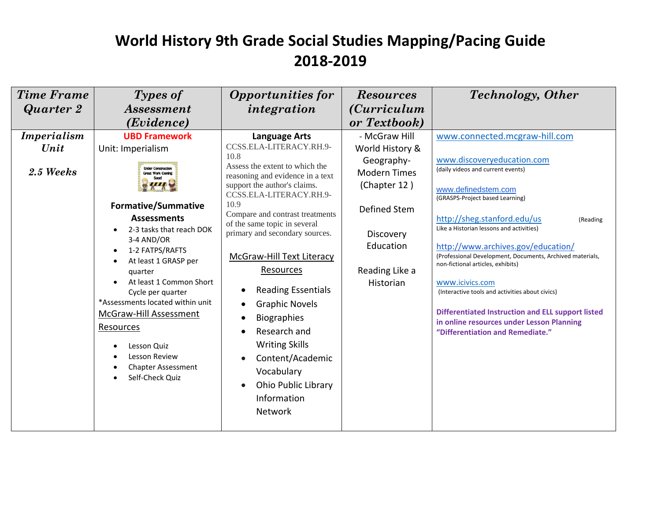| <b>Time Frame</b> | Types of                                                                                                                                                                                                                                                                                                                                                                                                             | <b>Opportunities for</b>                                                                                                                                                                                                                                                                                                                                                                                                                                                                                                                     | <b>Resources</b>                                                                                                           | <b>Technology</b> , Other                                                                                                                                                                                                                                                                                                                                                                                                                                                                                                                                                   |
|-------------------|----------------------------------------------------------------------------------------------------------------------------------------------------------------------------------------------------------------------------------------------------------------------------------------------------------------------------------------------------------------------------------------------------------------------|----------------------------------------------------------------------------------------------------------------------------------------------------------------------------------------------------------------------------------------------------------------------------------------------------------------------------------------------------------------------------------------------------------------------------------------------------------------------------------------------------------------------------------------------|----------------------------------------------------------------------------------------------------------------------------|-----------------------------------------------------------------------------------------------------------------------------------------------------------------------------------------------------------------------------------------------------------------------------------------------------------------------------------------------------------------------------------------------------------------------------------------------------------------------------------------------------------------------------------------------------------------------------|
| Quarter 2         | <i>Assessment</i>                                                                                                                                                                                                                                                                                                                                                                                                    | integration                                                                                                                                                                                                                                                                                                                                                                                                                                                                                                                                  | <i>(Curriculum</i> )                                                                                                       |                                                                                                                                                                                                                                                                                                                                                                                                                                                                                                                                                                             |
|                   | (Evidence)                                                                                                                                                                                                                                                                                                                                                                                                           |                                                                                                                                                                                                                                                                                                                                                                                                                                                                                                                                              | or Textbook)                                                                                                               |                                                                                                                                                                                                                                                                                                                                                                                                                                                                                                                                                                             |
| Imperialism       | <b>UBD Framework</b>                                                                                                                                                                                                                                                                                                                                                                                                 | <b>Language Arts</b>                                                                                                                                                                                                                                                                                                                                                                                                                                                                                                                         | - McGraw Hill                                                                                                              | www.connected.mcgraw-hill.com                                                                                                                                                                                                                                                                                                                                                                                                                                                                                                                                               |
| Unit              | Unit: Imperialism                                                                                                                                                                                                                                                                                                                                                                                                    | CCSS.ELA-LITERACY.RH.9-                                                                                                                                                                                                                                                                                                                                                                                                                                                                                                                      | World History &                                                                                                            |                                                                                                                                                                                                                                                                                                                                                                                                                                                                                                                                                                             |
| 2.5 Weeks         | <b>Inder Construction</b><br><b>Great Work Cominé</b><br><b>Formative/Summative</b><br><b>Assessments</b><br>2-3 tasks that reach DOK<br>3-4 AND/OR<br>1-2 FATPS/RAFTS<br>At least 1 GRASP per<br>quarter<br>At least 1 Common Short<br>Cycle per quarter<br>*Assessments located within unit<br>McGraw-Hill Assessment<br>Resources<br>Lesson Quiz<br>Lesson Review<br><b>Chapter Assessment</b><br>Self-Check Quiz | 10.8<br>Assess the extent to which the<br>reasoning and evidence in a text<br>support the author's claims.<br>CCSS.ELA-LITERACY.RH.9-<br>10.9<br>Compare and contrast treatments<br>of the same topic in several<br>primary and secondary sources.<br><b>McGraw-Hill Text Literacy</b><br>Resources<br><b>Reading Essentials</b><br><b>Graphic Novels</b><br><b>Biographies</b><br>Research and<br><b>Writing Skills</b><br>Content/Academic<br>$\bullet$<br>Vocabulary<br>Ohio Public Library<br>$\bullet$<br>Information<br><b>Network</b> | Geography-<br><b>Modern Times</b><br>(Chapter 12)<br>Defined Stem<br>Discovery<br>Education<br>Reading Like a<br>Historian | www.discoveryeducation.com<br>(daily videos and current events)<br>www.definedstem.com<br>(GRASPS-Project based Learning)<br>http://sheg.stanford.edu/us<br>(Reading<br>Like a Historian lessons and activities)<br>http://www.archives.gov/education/<br>(Professional Development, Documents, Archived materials,<br>non-fictional articles, exhibits)<br>www.icivics.com<br>(Interactive tools and activities about civics)<br><b>Differentiated Instruction and ELL support listed</b><br>in online resources under Lesson Planning<br>"Differentiation and Remediate." |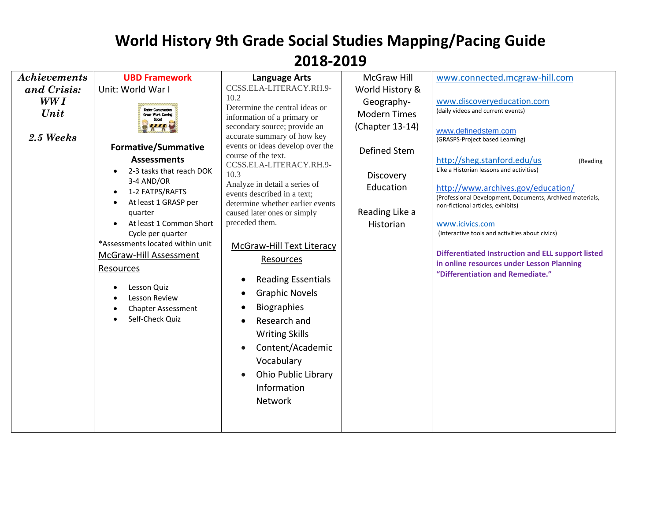| Achievements              | <b>UBD Framework</b>                                                                                                                                                                                                                                                                                                                                                                                                                     | <b>Language Arts</b>                                                                                                                                                                                                                                                                                                                                                                                                                                                                                                                                                                                                                                          | <b>McGraw Hill</b>                                                                                                            | www.connected.mcgraw-hill.com                                                                                                                                                                                                                                                                                                                                                                                                                                                                                                                                               |
|---------------------------|------------------------------------------------------------------------------------------------------------------------------------------------------------------------------------------------------------------------------------------------------------------------------------------------------------------------------------------------------------------------------------------------------------------------------------------|---------------------------------------------------------------------------------------------------------------------------------------------------------------------------------------------------------------------------------------------------------------------------------------------------------------------------------------------------------------------------------------------------------------------------------------------------------------------------------------------------------------------------------------------------------------------------------------------------------------------------------------------------------------|-------------------------------------------------------------------------------------------------------------------------------|-----------------------------------------------------------------------------------------------------------------------------------------------------------------------------------------------------------------------------------------------------------------------------------------------------------------------------------------------------------------------------------------------------------------------------------------------------------------------------------------------------------------------------------------------------------------------------|
| and Crisis:               | Unit: World War I                                                                                                                                                                                                                                                                                                                                                                                                                        | CCSS.ELA-LITERACY.RH.9-                                                                                                                                                                                                                                                                                                                                                                                                                                                                                                                                                                                                                                       | World History &                                                                                                               |                                                                                                                                                                                                                                                                                                                                                                                                                                                                                                                                                                             |
| WW I<br>Unit<br>2.5 Weeks | <b>Under Construction</b><br><b>Great Work Coming</b><br><b>Formative/Summative</b><br><b>Assessments</b><br>2-3 tasks that reach DOK<br>3-4 AND/OR<br>1-2 FATPS/RAFTS<br>$\bullet$<br>At least 1 GRASP per<br>quarter<br>At least 1 Common Short<br>Cycle per quarter<br>*Assessments located within unit<br><b>McGraw-Hill Assessment</b><br>Resources<br>Lesson Quiz<br>Lesson Review<br><b>Chapter Assessment</b><br>Self-Check Quiz | 10.2<br>Determine the central ideas or<br>information of a primary or<br>secondary source; provide an<br>accurate summary of how key<br>events or ideas develop over the<br>course of the text.<br>CCSS.ELA-LITERACY.RH.9-<br>10.3<br>Analyze in detail a series of<br>events described in a text;<br>determine whether earlier events<br>caused later ones or simply<br>preceded them.<br>McGraw-Hill Text Literacy<br>Resources<br><b>Reading Essentials</b><br><b>Graphic Novels</b><br><b>Biographies</b><br>Research and<br><b>Writing Skills</b><br>Content/Academic<br>Vocabulary<br><b>Ohio Public Library</b><br>$\bullet$<br>Information<br>Network | Geography-<br><b>Modern Times</b><br>(Chapter 13-14)<br>Defined Stem<br>Discovery<br>Education<br>Reading Like a<br>Historian | www.discoveryeducation.com<br>(daily videos and current events)<br>www.definedstem.com<br>(GRASPS-Project based Learning)<br>http://sheg.stanford.edu/us<br>(Reading<br>Like a Historian lessons and activities)<br>http://www.archives.gov/education/<br>(Professional Development, Documents, Archived materials,<br>non-fictional articles, exhibits)<br>www.icivics.com<br>(Interactive tools and activities about civics)<br><b>Differentiated Instruction and ELL support listed</b><br>in online resources under Lesson Planning<br>"Differentiation and Remediate." |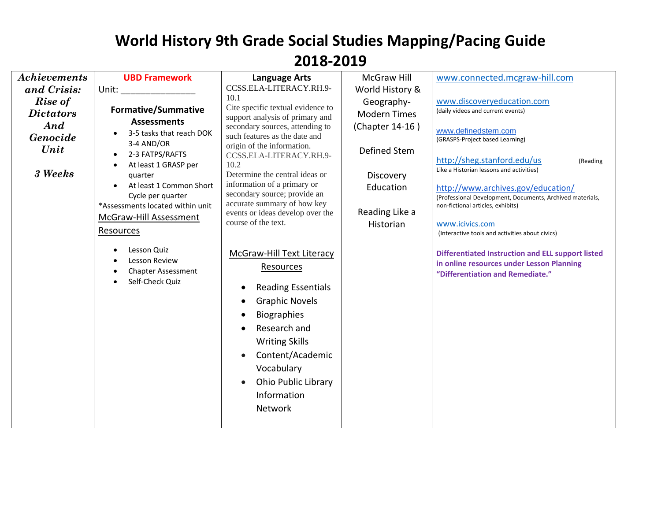| <b>Achievements</b>                                               | <b>UBD Framework</b>                                                                                                                                                                                                                                                        | <b>Language Arts</b>                                                                                                                                                                                                                                                                                                                                                                                         | McGraw Hill                                                                                                                   | www.connected.mcgraw-hill.com                                                                                                                                                                                                                                                                                                                                                                                                  |
|-------------------------------------------------------------------|-----------------------------------------------------------------------------------------------------------------------------------------------------------------------------------------------------------------------------------------------------------------------------|--------------------------------------------------------------------------------------------------------------------------------------------------------------------------------------------------------------------------------------------------------------------------------------------------------------------------------------------------------------------------------------------------------------|-------------------------------------------------------------------------------------------------------------------------------|--------------------------------------------------------------------------------------------------------------------------------------------------------------------------------------------------------------------------------------------------------------------------------------------------------------------------------------------------------------------------------------------------------------------------------|
| and Crisis:                                                       | Unit:                                                                                                                                                                                                                                                                       | CCSS.ELA-LITERACY.RH.9-                                                                                                                                                                                                                                                                                                                                                                                      | World History &                                                                                                               |                                                                                                                                                                                                                                                                                                                                                                                                                                |
| Rise of<br><b>Dictators</b><br>And<br>Genocide<br>Unit<br>3 Weeks | <b>Formative/Summative</b><br><b>Assessments</b><br>3-5 tasks that reach DOK<br>3-4 AND/OR<br>2-3 FATPS/RAFTS<br>At least 1 GRASP per<br>quarter<br>At least 1 Common Short<br>Cycle per quarter<br>*Assessments located within unit<br>McGraw-Hill Assessment<br>Resources | 10.1<br>Cite specific textual evidence to<br>support analysis of primary and<br>secondary sources, attending to<br>such features as the date and<br>origin of the information.<br>CCSS.ELA-LITERACY.RH.9-<br>10.2<br>Determine the central ideas or<br>information of a primary or<br>secondary source; provide an<br>accurate summary of how key<br>events or ideas develop over the<br>course of the text. | Geography-<br><b>Modern Times</b><br>(Chapter 14-16)<br>Defined Stem<br>Discovery<br>Education<br>Reading Like a<br>Historian | www.discoveryeducation.com<br>(daily videos and current events)<br>www.definedstem.com<br>(GRASPS-Project based Learning)<br>http://sheg.stanford.edu/us<br>(Reading<br>Like a Historian lessons and activities)<br>http://www.archives.gov/education/<br>(Professional Development, Documents, Archived materials,<br>non-fictional articles, exhibits)<br>www.icivics.com<br>(Interactive tools and activities about civics) |
|                                                                   | Lesson Quiz<br>Lesson Review<br><b>Chapter Assessment</b><br>Self-Check Quiz                                                                                                                                                                                                | <b>McGraw-Hill Text Literacy</b><br><b>Resources</b><br><b>Reading Essentials</b><br>$\bullet$<br><b>Graphic Novels</b><br>$\bullet$<br><b>Biographies</b><br>о<br>Research and<br><b>Writing Skills</b><br>Content/Academic<br>$\bullet$<br>Vocabulary<br><b>Ohio Public Library</b><br>$\bullet$<br>Information<br>Network                                                                                 |                                                                                                                               | <b>Differentiated Instruction and ELL support listed</b><br>in online resources under Lesson Planning<br>"Differentiation and Remediate."                                                                                                                                                                                                                                                                                      |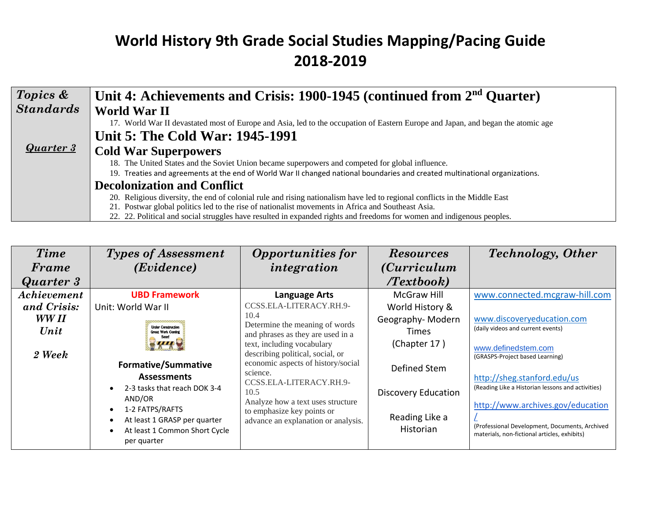| Topics &         | Unit 4: Achievements and Crisis: 1900-1945 (continued from 2 <sup>nd</sup> Ouarter)                                              |
|------------------|----------------------------------------------------------------------------------------------------------------------------------|
| <b>Standards</b> | <b>World War II</b>                                                                                                              |
|                  | 17. World War II devastated most of Europe and Asia, led to the occupation of Eastern Europe and Japan, and began the atomic age |
|                  | Unit 5: The Cold War: 1945-1991                                                                                                  |
| <b>Quarter 3</b> | <b>Cold War Superpowers</b>                                                                                                      |
|                  | 18. The United States and the Soviet Union became superpowers and competed for global influence.                                 |
|                  | 19. Treaties and agreements at the end of World War II changed national boundaries and created multinational organizations.      |
|                  | <b>Decolonization and Conflict</b>                                                                                               |
|                  | 20. Religious diversity, the end of colonial rule and rising nationalism have led to regional conflicts in the Middle East       |
|                  | 21. Postwar global politics led to the rise of nationalist movements in Africa and Southeast Asia.                               |
|                  | 22. 22. Political and social struggles have resulted in expanded rights and freedoms for women and indigenous peoples.           |

| <b>Time</b>      | <b>Types of Assessment</b>                      | <b>Opportunities for</b>                       | <b>Resources</b>           | <b>Technology</b> , Other                         |
|------------------|-------------------------------------------------|------------------------------------------------|----------------------------|---------------------------------------------------|
| Frame            | (Evidence)                                      | integration                                    | <i>(Curriculum</i> )       |                                                   |
| <b>Quarter 3</b> |                                                 |                                                | Textbook                   |                                                   |
| Achievement      | <b>UBD Framework</b>                            | Language Arts                                  | <b>McGraw Hill</b>         | www.connected.mcgraw-hill.com                     |
| and Crisis:      | Unit: World War II                              | CCSS.ELA-LITERACY.RH.9-                        | World History &            |                                                   |
| WW II            |                                                 | 10.4<br>Determine the meaning of words         | Geography-Modern           | www.discoveryeducation.com                        |
| Unit             | <b>Under Construction</b><br>Great Work Coming  | and phrases as they are used in a              | Times                      | (daily videos and current events)                 |
|                  |                                                 | text, including vocabulary                     | (Chapter 17)               | www.definedstem.com                               |
| 2 Week           |                                                 | describing political, social, or               |                            | (GRASPS-Project based Learning)                   |
|                  | <b>Formative/Summative</b>                      | economic aspects of history/social<br>science. | Defined Stem               |                                                   |
|                  | <b>Assessments</b>                              | CCSS.ELA-LITERACY.RH.9-                        |                            | http://sheg.stanford.edu/us                       |
|                  | 2-3 tasks that reach DOK 3-4<br>$\bullet$       | 10.5                                           | <b>Discovery Education</b> | (Reading Like a Historian lessons and activities) |
|                  | AND/OR                                          | Analyze how a text uses structure              |                            | http://www.archives.gov/education                 |
|                  | 1-2 FATPS/RAFTS<br>At least 1 GRASP per quarter | to emphasize key points or                     | Reading Like a             |                                                   |
|                  | At least 1 Common Short Cycle                   | advance an explanation or analysis.            | Historian                  | (Professional Development, Documents, Archived    |
|                  | per quarter                                     |                                                |                            | materials, non-fictional articles, exhibits)      |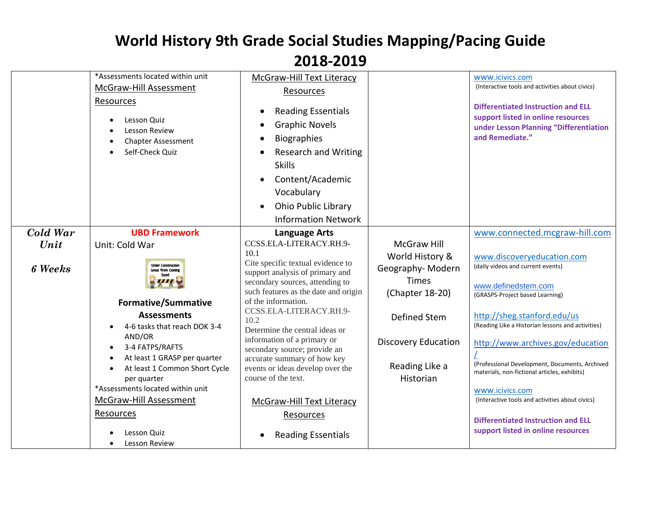|                | *Assessments located within unit<br>McGraw-Hill Assessment<br>Resources<br>Lesson Quiz<br>Lesson Review<br><b>Chapter Assessment</b><br>Self-Check Quiz                                                                                                                                                                                  | McGraw-Hill Text Literacy<br>Resources<br><b>Reading Essentials</b><br>٠<br><b>Graphic Novels</b><br><b>Biographies</b><br><b>Research and Writing</b><br><b>Skills</b><br>Content/Academic<br>Vocabulary<br><b>Ohio Public Library</b><br><b>Information Network</b>                                                                                                                                                                                         |                                                                                                                                                     | www.icivics.com<br>(Interactive tools and activities about civics)<br><b>Differentiated Instruction and ELL</b><br>support listed in online resources<br>under Lesson Planning "Differentiation<br>and Remediate."                                                                                                                                                                                                         |
|----------------|------------------------------------------------------------------------------------------------------------------------------------------------------------------------------------------------------------------------------------------------------------------------------------------------------------------------------------------|---------------------------------------------------------------------------------------------------------------------------------------------------------------------------------------------------------------------------------------------------------------------------------------------------------------------------------------------------------------------------------------------------------------------------------------------------------------|-----------------------------------------------------------------------------------------------------------------------------------------------------|----------------------------------------------------------------------------------------------------------------------------------------------------------------------------------------------------------------------------------------------------------------------------------------------------------------------------------------------------------------------------------------------------------------------------|
| Cold War       | <b>UBD Framework</b>                                                                                                                                                                                                                                                                                                                     | <b>Language Arts</b>                                                                                                                                                                                                                                                                                                                                                                                                                                          |                                                                                                                                                     | www.connected.mcgraw-hill.com                                                                                                                                                                                                                                                                                                                                                                                              |
| Unit           | Unit: Cold War                                                                                                                                                                                                                                                                                                                           | CCSS.ELA-LITERACY.RH.9-                                                                                                                                                                                                                                                                                                                                                                                                                                       | <b>McGraw Hill</b>                                                                                                                                  |                                                                                                                                                                                                                                                                                                                                                                                                                            |
| <b>6</b> Weeks | <b>Under Construction</b><br><b>Great Work Coming</b><br><b>Formative/Summative</b><br><b>Assessments</b><br>4-6 tasks that reach DOK 3-4<br>AND/OR<br>3-4 FATPS/RAFTS<br>At least 1 GRASP per quarter<br>At least 1 Common Short Cycle<br>per quarter<br>*Assessments located within unit<br><b>McGraw-Hill Assessment</b><br>Resources | 10.1<br>Cite specific textual evidence to<br>support analysis of primary and<br>secondary sources, attending to<br>such features as the date and origin<br>of the information.<br>CCSS.ELA-LITERACY.RH.9-<br>10.2<br>Determine the central ideas or<br>information of a primary or<br>secondary source; provide an<br>accurate summary of how key<br>events or ideas develop over the<br>course of the text.<br>McGraw-Hill Text Literacy<br><b>Resources</b> | World History &<br>Geography-Modern<br><b>Times</b><br>(Chapter 18-20)<br>Defined Stem<br><b>Discovery Education</b><br>Reading Like a<br>Historian | www.discoveryeducation.com<br>(daily videos and current events)<br>www.definedstem.com<br>(GRASPS-Project based Learning)<br>http://sheg.stanford.edu/us<br>(Reading Like a Historian lessons and activities)<br>http://www.archives.gov/education<br>(Professional Development, Documents, Archived<br>materials, non-fictional articles, exhibits)<br>www.icivics.com<br>(Interactive tools and activities about civics) |
|                | Lesson Quiz<br>Lesson Review                                                                                                                                                                                                                                                                                                             | <b>Reading Essentials</b>                                                                                                                                                                                                                                                                                                                                                                                                                                     |                                                                                                                                                     | <b>Differentiated Instruction and ELL</b><br>support listed in online resources                                                                                                                                                                                                                                                                                                                                            |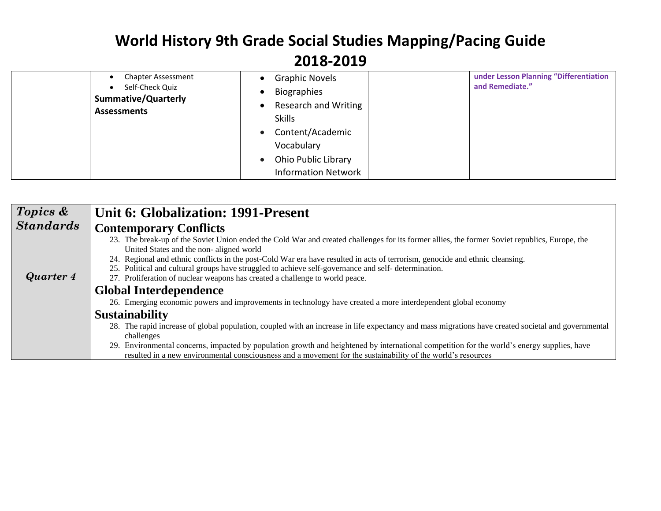|  | <b>Chapter Assessment</b>                                           | <b>Graphic Novels</b><br>$\bullet$      | under Lesson Planning "Differentiation |
|--|---------------------------------------------------------------------|-----------------------------------------|----------------------------------------|
|  | Self-Check Quiz<br><b>Summative/Quarterly</b><br><b>Assessments</b> | Biographies                             | and Remediate."                        |
|  |                                                                     | <b>Research and Writing</b>             |                                        |
|  |                                                                     | <b>Skills</b>                           |                                        |
|  |                                                                     | Content/Academic<br>$\bullet$           |                                        |
|  |                                                                     | Vocabulary                              |                                        |
|  |                                                                     | <b>Ohio Public Library</b><br>$\bullet$ |                                        |
|  |                                                                     | <b>Information Network</b>              |                                        |

| Topics &         | Unit 6: Globalization: 1991-Present                                                                                                                                                                                                                         |  |  |  |  |
|------------------|-------------------------------------------------------------------------------------------------------------------------------------------------------------------------------------------------------------------------------------------------------------|--|--|--|--|
| <b>Standards</b> | <b>Contemporary Conflicts</b>                                                                                                                                                                                                                               |  |  |  |  |
|                  | 23. The break-up of the Soviet Union ended the Cold War and created challenges for its former allies, the former Soviet republics, Europe, the<br>United States and the non-aligned world                                                                   |  |  |  |  |
|                  | 24. Regional and ethnic conflicts in the post-Cold War era have resulted in acts of terrorism, genocide and ethnic cleansing.<br>25. Political and cultural groups have struggled to achieve self-governance and self-determination.                        |  |  |  |  |
| Quarter 4        | 27. Proliferation of nuclear weapons has created a challenge to world peace.                                                                                                                                                                                |  |  |  |  |
|                  | <b>Global Interdependence</b>                                                                                                                                                                                                                               |  |  |  |  |
|                  | 26. Emerging economic powers and improvements in technology have created a more interdependent global economy                                                                                                                                               |  |  |  |  |
|                  | <b>Sustainability</b>                                                                                                                                                                                                                                       |  |  |  |  |
|                  | 28. The rapid increase of global population, coupled with an increase in life expectancy and mass migrations have created societal and governmental                                                                                                         |  |  |  |  |
|                  | challenges                                                                                                                                                                                                                                                  |  |  |  |  |
|                  | 29. Environmental concerns, impacted by population growth and heightened by international competition for the world's energy supplies, have<br>resulted in a new environmental consciousness and a movement for the sustainability of the world's resources |  |  |  |  |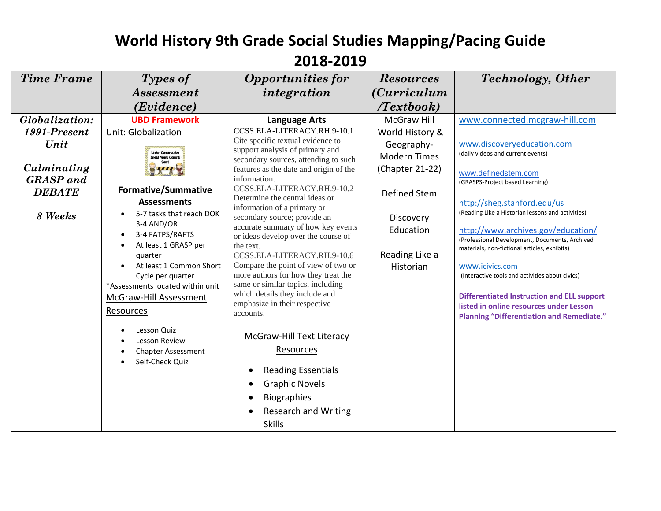| <b>Time Frame</b> | Types of                                                                                               | <b>Opportunities for</b>                                                                                                                                                                 | <b>Resources</b>     | <b>Technology</b> , Other                                                                   |
|-------------------|--------------------------------------------------------------------------------------------------------|------------------------------------------------------------------------------------------------------------------------------------------------------------------------------------------|----------------------|---------------------------------------------------------------------------------------------|
|                   | <b>Assessment</b>                                                                                      | integration                                                                                                                                                                              | <i>(Curriculum</i> ) |                                                                                             |
|                   | (Evidence)                                                                                             |                                                                                                                                                                                          | Textbook             |                                                                                             |
| Globalization:    | <b>UBD Framework</b>                                                                                   | <b>Language Arts</b>                                                                                                                                                                     | <b>McGraw Hill</b>   | www.connected.mcgraw-hill.com                                                               |
| 1991-Present      | <b>Unit: Globalization</b>                                                                             | CCSS.ELA-LITERACY.RH.9-10.1                                                                                                                                                              | World History &      |                                                                                             |
| Unit              |                                                                                                        | Cite specific textual evidence to<br>support analysis of primary and                                                                                                                     | Geography-           | www.discoveryeducation.com                                                                  |
|                   | <b>Under Construction</b><br><b>Great Work Cominé</b>                                                  | secondary sources, attending to such                                                                                                                                                     | <b>Modern Times</b>  | (daily videos and current events)                                                           |
| Culminating       |                                                                                                        | features as the date and origin of the                                                                                                                                                   | (Chapter 21-22)      | www.definedstem.com                                                                         |
| <b>GRASP</b> and  |                                                                                                        | information.                                                                                                                                                                             |                      | (GRASPS-Project based Learning)                                                             |
| <b>DEBATE</b>     | <b>Formative/Summative</b>                                                                             | CCSS.ELA-LITERACY.RH.9-10.2<br>Determine the central ideas or                                                                                                                            | Defined Stem         |                                                                                             |
|                   | <b>Assessments</b>                                                                                     | information of a primary or                                                                                                                                                              |                      | http://sheg.stanford.edu/us                                                                 |
| 8 Weeks           | 5-7 tasks that reach DOK                                                                               | secondary source; provide an                                                                                                                                                             | Discovery            | (Reading Like a Historian lessons and activities)                                           |
|                   | 3-4 AND/OR                                                                                             | accurate summary of how key events                                                                                                                                                       | Education            | http://www.archives.gov/education/                                                          |
|                   | 3-4 FATPS/RAFTS<br>$\bullet$<br>At least 1 GRASP per<br>$\bullet$                                      | or ideas develop over the course of<br>the text.                                                                                                                                         |                      | (Professional Development, Documents, Archived                                              |
|                   | quarter                                                                                                | CCSS.ELA-LITERACY.RH.9-10.6                                                                                                                                                              | Reading Like a       | materials, non-fictional articles, exhibits)                                                |
|                   | At least 1 Common Short<br>$\bullet$                                                                   | Compare the point of view of two or                                                                                                                                                      | Historian            | www.icivics.com                                                                             |
|                   | Cycle per quarter                                                                                      | more authors for how they treat the                                                                                                                                                      |                      | (Interactive tools and activities about civics)                                             |
|                   | *Assessments located within unit                                                                       | same or similar topics, including                                                                                                                                                        |                      |                                                                                             |
|                   | McGraw-Hill Assessment                                                                                 | which details they include and<br>emphasize in their respective                                                                                                                          |                      | <b>Differentiated Instruction and ELL support</b>                                           |
|                   | Resources                                                                                              | accounts.                                                                                                                                                                                |                      | listed in online resources under Lesson<br><b>Planning "Differentiation and Remediate."</b> |
|                   | Lesson Quiz<br>$\bullet$<br>Lesson Review<br>$\bullet$<br><b>Chapter Assessment</b><br>Self-Check Quiz | McGraw-Hill Text Literacy<br>Resources<br><b>Reading Essentials</b><br>$\bullet$<br><b>Graphic Novels</b><br>$\bullet$<br><b>Biographies</b><br>$\bullet$<br><b>Research and Writing</b> |                      |                                                                                             |
|                   |                                                                                                        | <b>Skills</b>                                                                                                                                                                            |                      |                                                                                             |